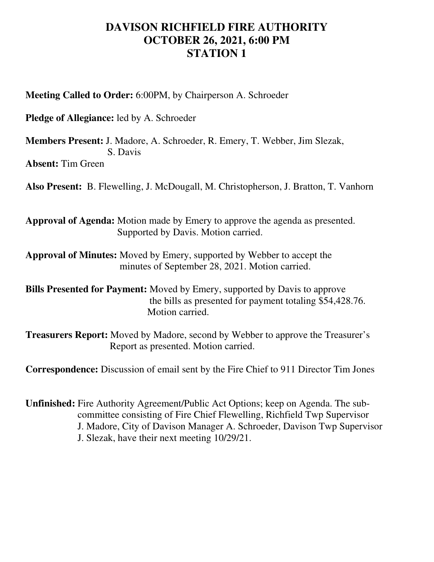## **DAVISON RICHFIELD FIRE AUTHORITY OCTOBER 26, 2021, 6:00 PM STATION 1**

**Meeting Called to Order:** 6:00PM, by Chairperson A. Schroeder

**Pledge of Allegiance:** led by A. Schroeder

**Members Present:** J. Madore, A. Schroeder, R. Emery, T. Webber, Jim Slezak, S. Davis **Absent:** Tim Green

**Also Present:** B. Flewelling, J. McDougall, M. Christopherson, J. Bratton, T. Vanhorn

**Approval of Agenda:** Motion made by Emery to approve the agenda as presented. Supported by Davis. Motion carried.

**Approval of Minutes:** Moved by Emery, supported by Webber to accept the minutes of September 28, 2021. Motion carried.

**Bills Presented for Payment:** Moved by Emery, supported by Davis to approve the bills as presented for payment totaling \$54,428.76. Motion carried.

**Treasurers Report:** Moved by Madore, second by Webber to approve the Treasurer's Report as presented. Motion carried.

**Correspondence:** Discussion of email sent by the Fire Chief to 911 Director Tim Jones

**Unfinished:** Fire Authority Agreement/Public Act Options; keep on Agenda. The sub committee consisting of Fire Chief Flewelling, Richfield Twp Supervisor J. Madore, City of Davison Manager A. Schroeder, Davison Twp Supervisor J. Slezak, have their next meeting 10/29/21.